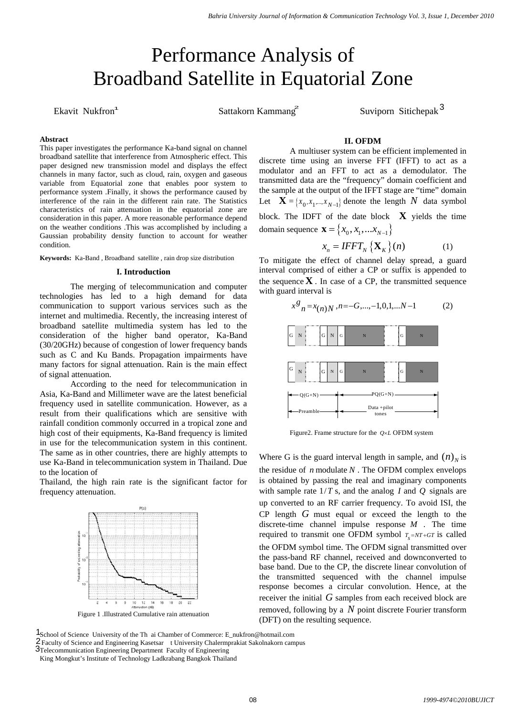# Performance Analysis of Broadband Satellite in Equatorial Zone

Ekavit Nukfron<sup>1</sup> Sattakorn Kammang<sup>2</sup>

Suviporn Sitichepak<sup>3</sup>

# **Abstract**

This paper investigates the performance Ka-band signal on channel broadband satellite that interference from Atmospheric effect. This paper designed new transmission model and displays the effect channels in many factor, such as cloud, rain, oxygen and gaseous variable from Equatorial zone that enables poor system to performance system .Finally, it shows the performance caused by interference of the rain in the different rain rate. The Statistics characteristics of rain attenuation in the equatorial zone are consideration in this paper. A more reasonable performance depend on the weather conditions .This was accomplished by including a Gaussian probability density function to account for weather condition.

**Keywords:** Ka-Band , Broadband satellite , rain drop size distribution

## **I. Introduction**

The merging of telecommunication and computer technologies has led to a high demand for data communication to support various services such as the internet and multimedia. Recently, the increasing interest of broadband satellite multimedia system has led to the consideration of the higher band operator, Ka-Band (30/20GHz) because of congestion of lower frequency bands such as C and Ku Bands. Propagation impairments have many factors for signal attenuation. Rain is the main effect of signal attenuation.

According to the need for telecommunication in Asia, Ka-Band and Millimeter wave are the latest beneficial frequency used in satellite communication. However, as a result from their qualifications which are sensitive with rainfall condition commonly occurred in a tropical zone and high cost of their equipments, Ka-Band frequency is limited in use for the telecommunication system in this continent. The same as in other countries, there are highly attempts to use Ka-Band in telecommunication system in Thailand. Due to the location of

Thailand, the high rain rate is the significant factor for frequency attenuation.



Figure 1 .Illustrated Cumulative rain attenuation

School of Science University of the Th ai Chamber of Commerce: E\_nukfron@hotmail.com 1 2 Faculty of Science and Engineering Kasetsar t University Chalermprakiat Sakolnakorn campus 3Telecommunication Engineering Department Faculty of Engineering

## **II. OFDM**

A multiuser system can be efficient implemented in discrete time using an inverse FFT (IFFT) to act as a modulator and an FFT to act as a demodulator. The transmitted data are the "frequency" domain coefficient and the sample at the output of the IFFT stage are "time" domain Let  $\mathbf{X} = \{x_0, x_1, ..., x_{N-1}\}\)$  denote the length *N* data symbol block. The IDFT of the date block **X** yields the time domain sequence  $\mathbf{x} = \{x_0, x_1, ... x_{N-1}\}\$ 

$$
x_n = IFFT_N \{ \mathbf{X}_K \} (n) \tag{1}
$$

To mitigate the effect of channel delay spread, a guard interval comprised of either a CP or suffix is appended to the sequence  $X$ . In case of a CP, the transmitted sequence with guard interval is



Figure2. Frame structure for the  $Q \times L$  OFDM system

Where G is the guard interval length in sample, and  $(n)$ <sub>*N*</sub> is the residue of  $n$  modulate  $N$ . The OFDM complex envelops is obtained by passing the real and imaginary components with sample rate 1/*T* s, and the analog *I* and *Q* signals are up converted to an RF carrier frequency. To avoid ISI, the CP length *G* must equal or exceed the length to the discrete-time channel impulse response *M* . The time required to transmit one OFDM symbol  $T_{s} = NT + GT$  is called the OFDM symbol time. The OFDM signal transmitted over the pass-band RF channel, received and downconverted to base band. Due to the CP, the discrete linear convolution of the transmitted sequenced with the channel impulse response becomes a circular convolution. Hence, at the receiver the initial *G* samples from each received block are removed, following by a *N* point discrete Fourier transform (DFT) on the resulting sequence.

King Mongkut's Institute of Technology Ladkrabang Bangkok Thailand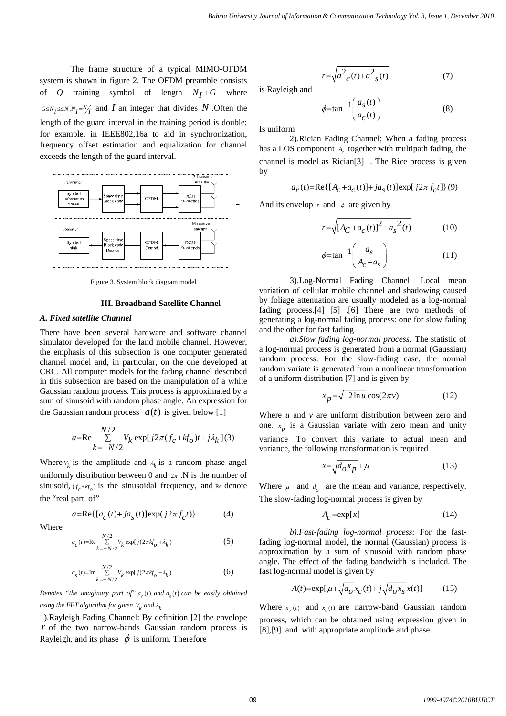The frame structure of a typical MIMO-OFDM system is shown in figure 2. The OFDM preamble consists of  $Q$  training symbol of length  $N_I + G$  where  $G \leq N_I \leq N, N_I = N_I$  and *I* an integer that divides *N* . Often the length of the guard interval in the training period is double; for example, in IEEE802,16a to aid in synchronization, frequency offset estimation and equalization for channel exceeds the length of the guard interval.



Figure 3. System block diagram model

# **III. Broadband Satellite Channel**

## *A. Fixed satellite Channel*

There have been several hardware and software channel simulator developed for the land mobile channel. However, the emphasis of this subsection is one computer generated channel model and, in particular, on the one developed at CRC. All computer models for the fading channel described in this subsection are based on the manipulation of a white Gaussian random process. This process is approximated by a sum of sinusoid with random phase angle. An expression for the Gaussian random process  $a(t)$  is given below [1]

$$
a=\text{Re}\sum_{k=-N/2}^{N/2} V_k \exp[j2\pi (f_c+kf_o)t+j\lambda_k](3)
$$

Where  $v_k$  is the amplitude and  $\lambda_k$  is a random phase angel uniformly distribution between 0 and  $2\pi$ . N is the number of sinusoid,  $(f_c + kf_a)$  is the sinusoidal frequency, and Re denote the "real part of"

$$
a = \text{Re}\{ [a_C(t) + ja_S(t)] \exp(j2\pi f_C t) \}
$$
 (4)

Where

$$
a_c(t) = \text{Re} \sum_{k=-N/2}^{N/2} V_k \exp[j(2\pi k f_o + \lambda_k)] \tag{5}
$$

$$
a_{s}(t) = \text{Im} \sum_{k=-N/2}^{N/2} V_{k} \exp[j(2\pi k f_{o} + \lambda_{k}) \tag{6}
$$

*Denotes "the imaginary part of"*  $a_a(t)$  *and*  $a_c(t)$  *can be easily obtained using the FFT algorithm for given*  $V_k$  *and*  $\lambda_k$ 

1).Rayleigh Fading Channel: By definition [2] the envelope *r* of the two narrow-bands Gaussian random process is Rayleigh, and its phase  $\phi$  is uniform. Therefore

$$
r = \sqrt{a^2_{c}(t) + a^2_{s}(t)}\tag{7}
$$

is Rayleigh and

$$
\phi = \tan^{-1} \left( \frac{a_s(t)}{a_c(t)} \right) \tag{8}
$$

Is uniform

2).Rician Fading Channel; When a fading process has a LOS component *A<sub>c</sub>* together with multipath fading, the channel is model as Rician[3] . The Rice process is given by

$$
a_r(t) = \text{Re}\{[A_c + a_c(t)] + ja_s(t)\} \exp[j2\pi f_c t]\}(9)
$$

And its envelop  $r$  and  $\phi$  are given by

$$
r = \sqrt{[A_C + a_C(t)]^2 + a_s^2(t)}
$$
 (10)

$$
\phi = \tan^{-1} \left( \frac{a_s}{A_c + a_s} \right) \tag{11}
$$

3).Log-Normal Fading Channel: Local mean variation of cellular mobile channel and shadowing caused by foliage attenuation are usually modeled as a log-normal fading process.[4] [5] .[6] There are two methods of generating a log-normal fading process: one for slow fading and the other for fast fading

*a).Slow fading log-normal process:* The statistic of a log-normal process is generated from a normal (Gaussian) random process. For the slow-fading case, the normal random variate is generated from a nonlinear transformation of a uniform distribution [7] and is given by

$$
x_p = \sqrt{-2\ln u} \cos(2\pi v) \tag{12}
$$

Where *u* and *v* are uniform distribution between zero and one.  $x_p$  is a Gaussian variate with zero mean and unity variance .To convert this variate to actual mean and

variance, the following transformation is required

$$
x = \sqrt{d_o x_p} + \mu \tag{13}
$$

Where  $\mu$  and  $d_{\rho}$  are the mean and variance, respectively. The slow-fading log-normal process is given by

$$
A_{\mathcal{C}} = \exp[x] \tag{14}
$$

*b).Fast-fading log-normal process:* For the fastfading log-normal model, the normal (Gaussian) process is approximation by a sum of sinusoid with random phase angle. The effect of the fading bandwidth is included. The fast log-normal model is given by

$$
A(t) = \exp[\mu + \sqrt{d_o}x_c(t) + j\sqrt{d_ox_s}x(t)] \tag{15}
$$

Where  $x_c(t)$  and  $x_c(t)$  are narrow-band Gaussian random process, which can be obtained using expression given in [8],[9] and with appropriate amplitude and phase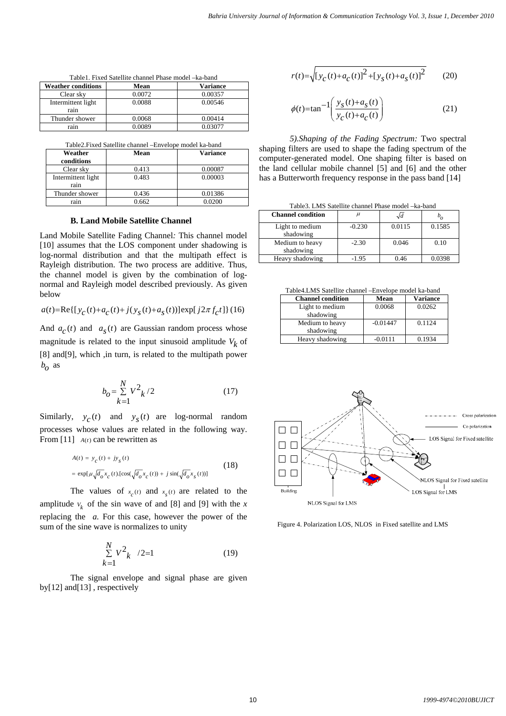| <b>Weather conditions</b>  | Mean   | <b>Variance</b> |  |  |
|----------------------------|--------|-----------------|--|--|
| Clear sky                  | 0.0072 | 0.00357         |  |  |
| Intermittent light<br>rain | 0.0088 | 0.00546         |  |  |
| Thunder shower             | 0.0068 | 0.00414         |  |  |
| rain                       | 0.0089 | 0.03077         |  |  |

Table1. Fixed Satellite channel Phase model –ka-band

| Weather            | Mean  | <b>Variance</b> |
|--------------------|-------|-----------------|
| conditions         |       |                 |
| Clear sky          | 0.413 | 0.00087         |
| Intermittent light | 0.483 | 0.00003         |
| rain               |       |                 |
| Thunder shower     | 0.436 | 0.01386         |
| rain               | በ 662 | 0.0200          |

## **B. Land Mobile Satellite Channel**

Land Mobile Satellite Fading Channel*:* This channel model [10] assumes that the LOS component under shadowing is log-normal distribution and that the multipath effect is Rayleigh distribution. The two process are additive. Thus, the channel model is given by the combination of lognormal and Rayleigh model described previously. As given below

$$
a(t) = \text{Re}\left\{ \left[ y_c(t) + a_c(t) + j(y_s(t) + a_s(t)) \right] \exp[j2\pi f_c t] \right\} (16)
$$

And  $a_c(t)$  and  $a_s(t)$  are Gaussian random process whose magnitude is related to the input sinusoid amplitude  $V_k$  of [8] and[9], which ,in turn, is related to the multipath power  $b<sub>o</sub>$  as

$$
b_{0} = \sum_{k=1}^{N} V^{2}{}_{k} / 2
$$
 (17)

Similarly,  $y_c(t)$  and  $y_s(t)$  are log-normal random processes whose values are related in the following way. From [11]  $A(t)$  can be rewritten as

$$
A(t) = y_c(t) + jy_s(t)
$$
  
= 
$$
\exp[\mu \sqrt{d_o} x_c(t) \cdot [\cos(\sqrt{d_o} x_c(t)) + j \sin(\sqrt{d_o} x_s(t))]
$$
 (18)

The values of  $x_c(t)$  and  $x_s(t)$  are related to the amplitude  $v_k$  of the sin wave of and [8] and [9] with the x replacing the *a.* For this case, however the power of the sum of the sine wave is normalizes to unity

$$
\sum_{k=1}^{N} V^2_{k} / 2 = 1
$$
 (19)

The signal envelope and signal phase are given by[12] and[13] , respectively

$$
r(t) = \sqrt{[y_c(t) + a_c(t)]^2 + [y_s(t) + a_s(t)]^2}
$$
 (20)

$$
\phi(t) = \tan^{-1}\left(\frac{y_s(t) + a_s(t)}{y_c(t) + a_c(t)}\right) \tag{21}
$$

*5).Shaping of the Fading Spectrum:* Two spectral shaping filters are used to shape the fading spectrum of the computer-generated model. One shaping filter is based on the land cellular mobile channel [5] and [6] and the other has a Butterworth frequency response in the pass band [14]

Table3. LMS Satellite channel Phase model –ka-band

| <b>Channel condition</b>     |          | $\sqrt{d}$ |        |
|------------------------------|----------|------------|--------|
| Light to medium              | $-0.230$ | 0.0115     | 0.1585 |
| shadowing                    |          |            |        |
| Medium to heavy<br>shadowing | $-2.30$  | 0.046      | 0.10   |
| Heavy shadowing              | $-1.95$  | 0.46       | 0.0398 |

Table4.LMS Satellite channel –Envelope model ka-band

| <b>Channel condition</b> | Mean       | <b>Variance</b> |
|--------------------------|------------|-----------------|
| Light to medium          | 0.0068     | 0.0262          |
| shadowing                |            |                 |
| Medium to heavy          | $-0.01447$ | 0.1124          |
| shadowing                |            |                 |
| Heavy shadowing          | $-0.0111$  | 0.1934          |



Figure 4. Polarization LOS, NLOS in Fixed satellite and LMS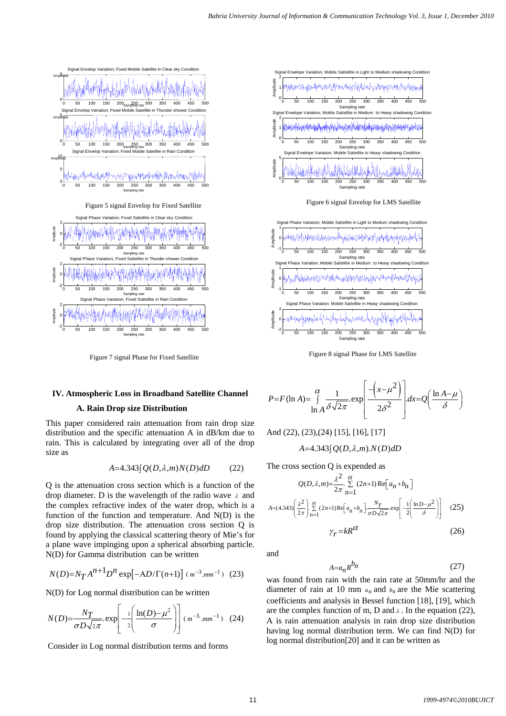

Figure 7 signal Phase for Fixed Satellite





Figure 8 signal Phase for LMS Satellite

# **IV. Atmospheric Loss in Broadband Satellite Channel**

# **A. Rain Drop size Distribution**

This paper considered rain attenuation from rain drop size distribution and the specific attenuation A in dB/km due to rain. This is calculated by integrating over all of the drop size as

$$
A=4.343[Q(D,\lambda,m)N(D)dD \qquad (22)
$$

Q is the attenuation cross section which is a function of the drop diameter. D is the wavelength of the radio wave  $\lambda$  and the complex refractive index of the water drop, which is a function of the function and temperature. And N(D) is the drop size distribution. The attenuation cross section Q is found by applying the classical scattering theory of Mie's for a plane wave impinging upon a spherical absorbing particle. N(D) for Gamma distribution can be written

$$
N(D) = N_T A^{n+1} D^n \exp[-AD/\Gamma(n+1)] (m^{-3}.mm^{-1}) (23)
$$

N(D) for Log normal distribution can be written

$$
N(D) = \frac{N_T}{\sigma D \sqrt{2\pi}} \exp\left[-\frac{1}{2}\left(\frac{\ln(D) - \mu^2}{\sigma}\right)\right] (m^{-3} \cdot m m^{-1})
$$
 (24)

Consider in Log normal distribution terms and forms

$$
P = F(\ln A) = \int_{\ln A}^{\alpha} \frac{1}{\delta \sqrt{2\pi}} \exp\left[\frac{-\left(x - \mu^2\right)}{2\delta^2}\right] dx = Q\left(\frac{\ln A - \mu}{\delta}\right)
$$

And (22), (23),(24) [15], [16], [17]

$$
A=4.343[Q(D,\lambda,m).N(D)dD
$$

The cross section Q is expended as

$$
Q(D,\lambda,m) = \frac{\lambda^2}{2\pi} \sum_{n=1}^{\alpha} (2n+1) \operatorname{Re}\left[a_n + b_n\right]
$$
  

$$
A = (4.343) \left(\frac{\lambda^2}{2\pi}\right) \sum_{n=1}^{\alpha} (2n+1) \operatorname{Re}\left[a_n + b_n\right] \frac{N_T}{\sigma D \sqrt{2\pi}} \exp\left[-\frac{1}{2} \left(\frac{\ln D - \mu^2}{\delta}\right)\right]
$$
(25)  

$$
\gamma_T = kR^{\alpha}
$$
(26)

and

$$
A = a_n R^{b_n} \tag{27}
$$

was found from rain with the rain rate at 50mm/hr and the diameter of rain at 10 mm  $a_n$  and  $b_n$  are the Mie scattering coefficients and analysis in Bessel function [18], [19], which are the complex function of m, D and  $\lambda$ . In the equation (22), A is rain attenuation analysis in rain drop size distribution having log normal distribution term. We can find N(D) for log normal distribution[20] and it can be written as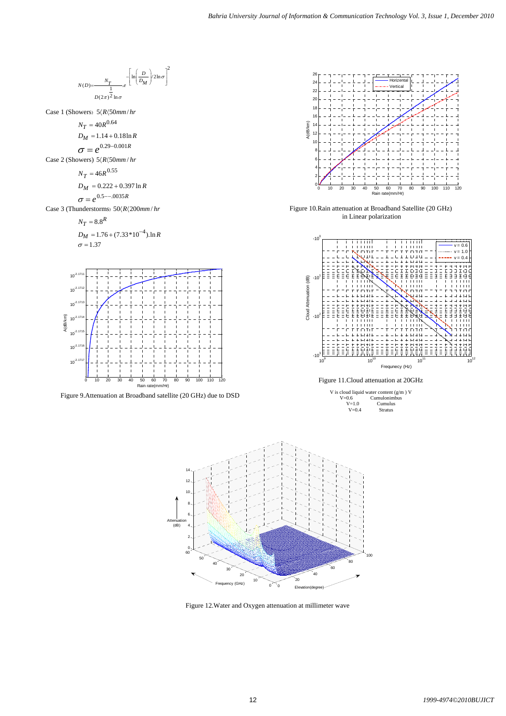$$
M(t) = -\frac{N_f}{D(t)} = \frac{1}{2} \ln \left(\frac{D_0}{D_H}\right)^2 \ln \sigma
$$
\nCine I (Show Y)  
\n
$$
N_f = 4.0R^{0.641}
$$
\n
$$
N_f = 4.0R^{0.641}
$$
\n
$$
N_f = 4.0R^{0.641}
$$
\n
$$
N_f = 4.6R^{0.651}
$$
\n
$$
N_f = 6.6R^{0.551}
$$
\n
$$
N_f = 6.6R^{0.551}
$$
\n
$$
N_f = 6.8R^{0.551}
$$
\n
$$
N_f = 8.8^R
$$
\n
$$
D_M = 1.76 + (7.33 \times 10^{-4}) \ln R
$$
\n
$$
N_f = 8.8^R
$$
\n
$$
D_M = 1.76 + (7.33 \times 10^{-4}) \ln R
$$
\n
$$
N_f = 8.8^R
$$
\n
$$
N_f = 8.8^R
$$
\n
$$
N_f = 8.8^R
$$
\n
$$
N_f = 8.8^R
$$
\n
$$
N_f = 8.8^R
$$
\n
$$
N_f = 8.8^R
$$
\n
$$
N_f = 8.8^R
$$
\n
$$
N_f = 8.8^R
$$
\n
$$
N_f = 8.8^R
$$
\n
$$
N_f = 8.8^R
$$
\n
$$
N_f = 8.8^R
$$
\n
$$
N_f = 8.8^R
$$
\n
$$
N_f = 8.8^R
$$
\n
$$
N_f = 8.8^R
$$
\n
$$
N_f = 8.8^R
$$
\n
$$
N_f = 8.8^R
$$
\n
$$
N_f = 8.8^R
$$
\n
$$
N_f = 8.8^R
$$
\n
$$
N_f = 8.8^R
$$
\n
$$
N_f = 8.8^R
$$
\n
$$
N_f = 8.8^R
$$
\n
$$
N_f = 8.8^R
$$
\n
$$
N_f
$$

 $\tilde{0}$ 

 $\Omega$ 10 20 30 40 50 60 0 2

Figure 12.Water and Oxygen attenuation at millimeter wave

Frequency (GHz)

 $20$ 

Elevation(degree)

40

60

80

100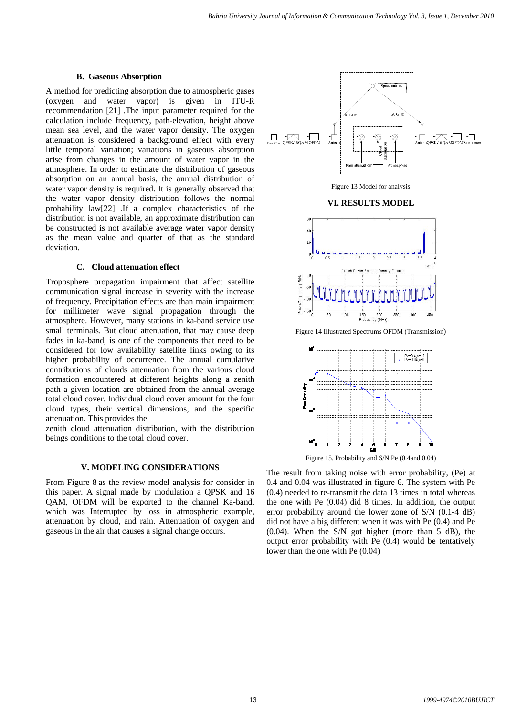## **B. Gaseous Absorption**

A method for predicting absorption due to atmospheric gases (oxygen and water vapor) is given in ITU-R recommendation [21] .The input parameter required for the calculation include frequency, path-elevation, height above mean sea level, and the water vapor density. The oxygen attenuation is considered a background effect with every little temporal variation; variations in gaseous absorption arise from changes in the amount of water vapor in the atmosphere. In order to estimate the distribution of gaseous absorption on an annual basis, the annual distribution of water vapor density is required. It is generally observed that the water vapor density distribution follows the normal probability law[22] .If a complex characteristics of the distribution is not available, an approximate distribution can be constructed is not available average water vapor density as the mean value and quarter of that as the standard deviation.

#### **C. Cloud attenuation effect**

Troposphere propagation impairment that affect satellite communication signal increase in severity with the increase of frequency. Precipitation effects are than main impairment for millimeter wave signal propagation through the atmosphere. However, many stations in ka-band service use small terminals. But cloud attenuation, that may cause deep fades in ka-band, is one of the components that need to be considered for low availability satellite links owing to its higher probability of occurrence. The annual cumulative contributions of clouds attenuation from the various cloud formation encountered at different heights along a zenith path a given location are obtained from the annual average total cloud cover. Individual cloud cover amount for the four cloud types, their vertical dimensions, and the specific attenuation. This provides the

zenith cloud attenuation distribution, with the distribution beings conditions to the total cloud cover.

## **V. MODELING CONSIDERATIONS**

From Figure 8 as the review model analysis for consider in this paper. A signal made by modulation a QPSK and 16 QAM, OFDM will be exported to the channel Ka-band, which was Interrupted by loss in atmospheric example, attenuation by cloud, and rain. Attenuation of oxygen and gaseous in the air that causes a signal change occurs.



Figure 13 Model for analysis

## **VI. RESULTS MODEL**



Figure 14 Illustrated Spectrums OFDM (Transmission)



Figure 15. Probability and S/N Pe (0.4and 0.04)

The result from taking noise with error probability, (Pe) at 0.4 and 0.04 was illustrated in figure 6. The system with Pe (0.4) needed to re-transmit the data 13 times in total whereas the one with Pe (0.04) did 8 times. In addition, the output error probability around the lower zone of S/N (0.1-4 dB) did not have a big different when it was with Pe (0.4) and Pe (0.04). When the S/N got higher (more than 5 dB), the output error probability with Pe (0.4) would be tentatively lower than the one with Pe (0.04)